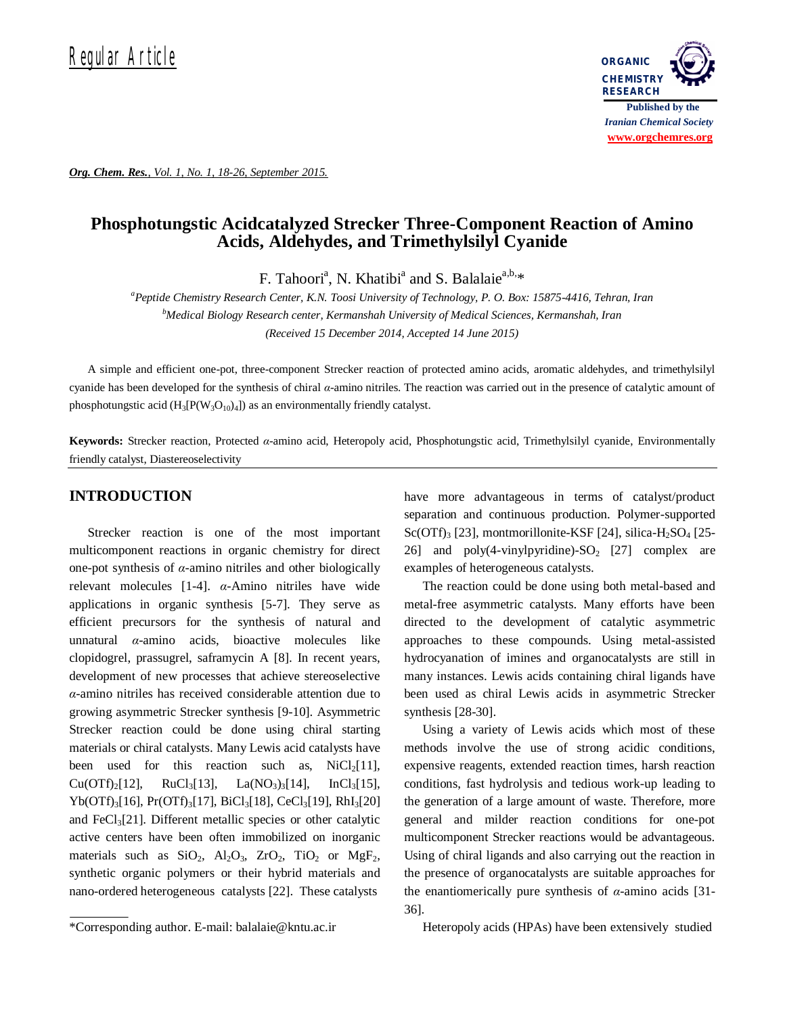

*Org. Chem. Res., Vol. 1, No. 1, 18-26, September 2015.*

# **Phosphotungstic Acidcatalyzed Strecker Three-Component Reaction of Amino Acids, Aldehydes, and Trimethylsilyl Cyanide**

F. Tahoori<sup>a</sup>, N. Khatibi<sup>a</sup> and S. Balalaie<sup>a,b,\*</sup>

*<sup>a</sup>Peptide Chemistry Research Center, K.N. Toosi University of Technology, P. O. Box: 15875-4416, Tehran, Iran <sup>b</sup>Medical Biology Research center, Kermanshah University of Medical Sciences, Kermanshah, Iran (Received 15 December 2014, Accepted 14 June 2015)*

A simple and efficient one-pot, three-component Strecker reaction of protected amino acids, aromatic aldehydes, and trimethylsilyl cyanide has been developed for the synthesis of chiral *α*-amino nitriles. The reaction was carried out in the presence of catalytic amount of phosphotungstic acid  $(H_3[P(W_3O_{10})_4])$  as an environmentally friendly catalyst.

**Keywords:** Strecker reaction, Protected *α*-amino acid, Heteropoly acid, Phosphotungstic acid, Trimethylsilyl cyanide, Environmentally friendly catalyst, Diastereoselectivity

# **INTRODUCTION**

Strecker reaction is one of the most important multicomponent reactions in organic chemistry for direct one-pot synthesis of *α*-amino nitriles and other biologically relevant molecules [1-4]. *α*-Amino nitriles have wide applications in organic synthesis [5-7]. They serve as efficient precursors for the synthesis of natural and unnatural *α*-amino acids, bioactive molecules like clopidogrel, prassugrel, saframycin A [8]. In recent years, development of new processes that achieve stereoselective *α*-amino nitriles has received considerable attention due to growing asymmetric Strecker synthesis [9-10]. Asymmetric Strecker reaction could be done using chiral starting materials or chiral catalysts. Many Lewis acid catalysts have been used for this reaction such as,  $NiCl<sub>2</sub>[11]$ ,  $Cu(OTf)_2[12],$  RuCl<sub>3</sub>[13], La(NO<sub>3</sub>)<sub>3</sub>[14], InCl<sub>3</sub>[15],  $Yb(OTf)_{3}[16]$ ,  $Pr(OTf)_{3}[17]$ ,  $BiCl_{3}[18]$ ,  $CeCl_{3}[19]$ ,  $RhI_{3}[20]$ and  $FeCl<sub>3</sub>[21]$ . Different metallic species or other catalytic active centers have been often immobilized on inorganic materials such as  $SiO_2$ ,  $Al_2O_3$ ,  $ZrO_2$ ,  $TiO_2$  or  $MgF_2$ , synthetic organic polymers or their hybrid materials and nano-ordered heterogeneous catalysts [22]. These catalysts

have more advantageous in terms of catalyst/product separation and continuous production. Polymer-supported Sc(OTf)<sub>3</sub> [23], montmorillonite-KSF [24], silica-H<sub>2</sub>SO<sub>4</sub> [25-26] and poly(4-vinylpyridine)- $SO_2$  [27] complex are examples of heterogeneous catalysts.

The reaction could be done using both metal-based and metal-free asymmetric catalysts. Many efforts have been directed to the development of catalytic asymmetric approaches to these compounds. Using metal-assisted hydrocyanation of imines and organocatalysts are still in many instances. Lewis acids containing chiral ligands have been used as chiral Lewis acids in asymmetric Strecker synthesis [28-30].

Using a variety of Lewis acids which most of these methods involve the use of strong acidic conditions, expensive reagents, extended reaction times, harsh reaction conditions, fast hydrolysis and tedious work-up leading to the generation of a large amount of waste. Therefore, more general and milder reaction conditions for one-pot multicomponent Strecker reactions would be advantageous. Using of chiral ligands and also carrying out the reaction in the presence of organocatalysts are suitable approaches for the enantiomerically pure synthesis of *α*-amino acids [31- 36].

Heteropoly acids (HPAs) have been extensively studied

<sup>\*</sup>Corresponding author. E-mail: balalaie@kntu.ac.ir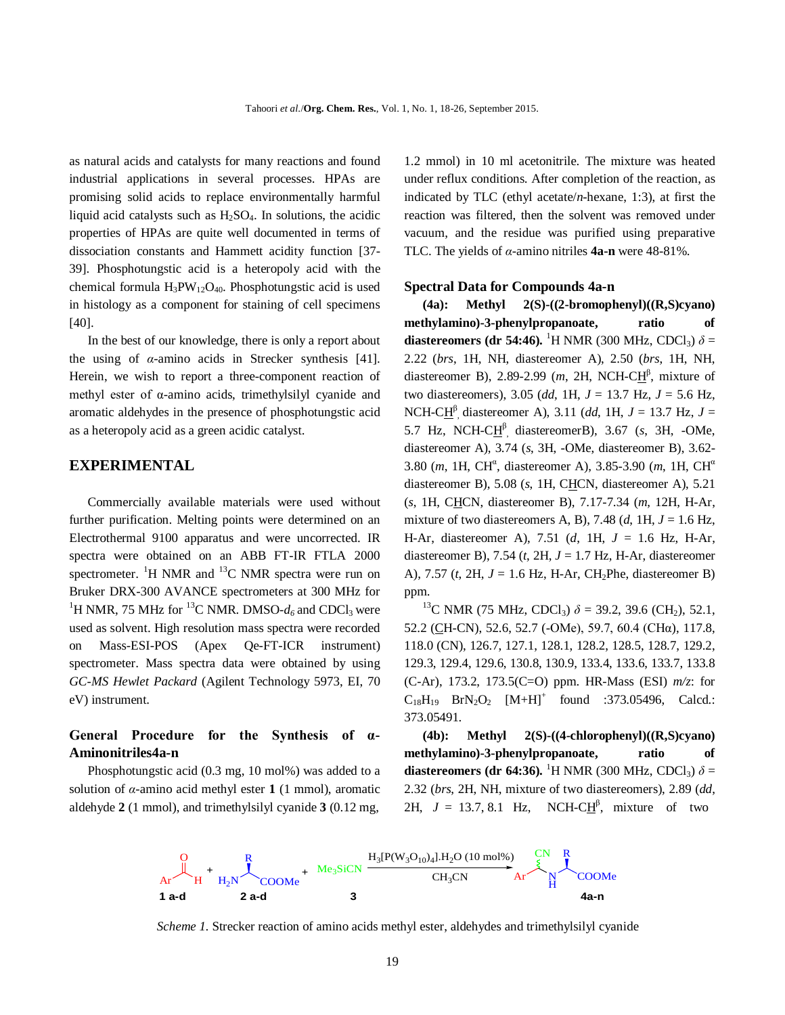as natural acids and catalysts for many reactions and found industrial applications in several processes. HPAs are promising solid acids to replace environmentally harmful liquid acid catalysts such as  $H_2SO_4$ . In solutions, the acidic properties of HPAs are quite well documented in terms of dissociation constants and Hammett acidity function [37- 39]. Phosphotungstic acid is a heteropoly acid with the chemical formula  $H_3PW_{12}O_{40}$ . Phosphotungstic acid is used in histology as a component for staining of cell specimens [40].

In the best of our knowledge, there is only a report about the using of *α*-amino acids in Strecker synthesis [41]. Herein, we wish to report a three-component reaction of methyl ester of α-amino acids, trimethylsilyl cyanide and aromatic aldehydes in the presence of phosphotungstic acid as a heteropoly acid as a green acidic catalyst.

### **EXPERIMENTAL**

Commercially available materials were used without further purification. Melting points were determined on an Electrothermal 9100 apparatus and were uncorrected. IR spectra were obtained on an ABB FT-IR FTLA 2000 spectrometer. <sup>1</sup>H NMR and <sup>13</sup>C NMR spectra were run on Bruker DRX-300 AVANCE spectrometers at 300 MHz for <sup>1</sup>H NMR, 75 MHz for <sup>13</sup>C NMR. DMSO- $d_6$  and CDCl<sub>3</sub> were used as solvent. High resolution mass spectra were recorded on Mass-ESI-POS (Apex Qe-FT-ICR instrument) spectrometer. Mass spectra data were obtained by using *GC-MS Hewlet Packard* (Agilent Technology 5973, EI, 70 eV) instrument.

## **General Procedure for the Synthesis of α-Aminonitriles4a-n**

Phosphotungstic acid (0.3 mg, 10 mol%) was added to a solution of *α*-amino acid methyl ester **1** (1 mmol), aromatic aldehyde **2** (1 mmol), and trimethylsilyl cyanide **3** (0.12 mg,

1.2 mmol) in 10 ml acetonitrile. The mixture was heated under reflux conditions. After completion of the reaction, as indicated by TLC (ethyl acetate/*n*-hexane, 1:3), at first the reaction was filtered, then the solvent was removed under vacuum, and the residue was purified using preparative TLC. The yields of *α*-amino nitriles **4a-n** were 48-81%.

#### **Spectral Data for Compounds 4a-n**

**(4a): Methyl 2(S)-((2-bromophenyl)((R,S)cyano) methylamino)-3-phenylpropanoate, ratio of**  diastereomers (dr 54:46). <sup>1</sup>H NMR (300 MHz, CDCl<sub>3</sub>)  $\delta$  = 2.22 (*brs*, 1H, NH, diastereomer A), 2.50 (*brs*, 1H, NH, diastereomer B), 2.89-2.99 (*m*, 2H, NCH-C $H^{\beta}$ , mixture of two diastereomers), 3.05 (*dd*, 1H, *J* = 13.7 Hz, *J* = 5.6 Hz, NCH-CH β , diastereomer A), 3.11 (*dd*, 1H, *J* = 13.7 Hz, *J* = 5.7 Hz, NCH-C $H^{\beta}$ , diastereomerB), 3.67 (s, 3H, -OMe, diastereomer A), 3.74 (*s*, 3H, -OMe, diastereomer B), 3.62- 3.80 (*m*, 1H, CH<sup>a</sup>, diastereomer A), 3.85-3.90 (*m*, 1H, CH<sup>a</sup> diastereomer B), 5.08 (*s*, 1H, CHCN, diastereomer A), 5.21 (*s*, 1H, CHCN, diastereomer B), 7.17-7.34 (*m*, 12H, H-Ar, mixture of two diastereomers A, B), 7.48 (*d*, 1H, *J* = 1.6 Hz, H-Ar, diastereomer A), 7.51 (*d*, 1H, *J* = 1.6 Hz, H-Ar, diastereomer B), 7.54 (*t*, 2H, *J* = 1.7 Hz, H-Ar, diastereomer A), 7.57 (*t*, 2H, *J* = 1.6 Hz, H-Ar, CH2Phe, diastereomer B) ppm.

<sup>13</sup>C NMR (75 MHz, CDCl<sub>3</sub>)  $\delta$  = 39.2, 39.6 (CH<sub>2</sub>), 52.1, 52.2 (CH-CN), 52.6, 52.7 (-OMe), 59.7, 60.4 (CHα), 117.8, 118.0 (CN), 126.7, 127.1, 128.1, 128.2, 128.5, 128.7, 129.2, 129.3, 129.4, 129.6, 130.8, 130.9, 133.4, 133.6, 133.7, 133.8 (C-Ar), 173.2, 173.5(C=O) ppm. HR-Mass (ESI) *m/z*: for  $C_{18}H_{19}$  BrN<sub>2</sub>O<sub>2</sub> [M+H]<sup>+</sup> found :373.05496, Calcd.: 373.05491.

**(4b): Methyl 2(S)-((4-chlorophenyl)((R,S)cyano) methylamino)-3-phenylpropanoate, ratio of diastereomers (dr 64:36).** <sup>1</sup>H NMR (300 MHz, CDCl<sub>3</sub>)  $\delta$  = 2.32 (*brs*, 2H, NH, mixture of two diastereomers), 2.89 (*dd*, 2H,  $J = 13.7, 8.1$  Hz, NCH-C $H^{\beta}$ , mixture of two



*Scheme 1.* Strecker reaction of amino acids methyl ester, aldehydes and trimethylsilyl cyanide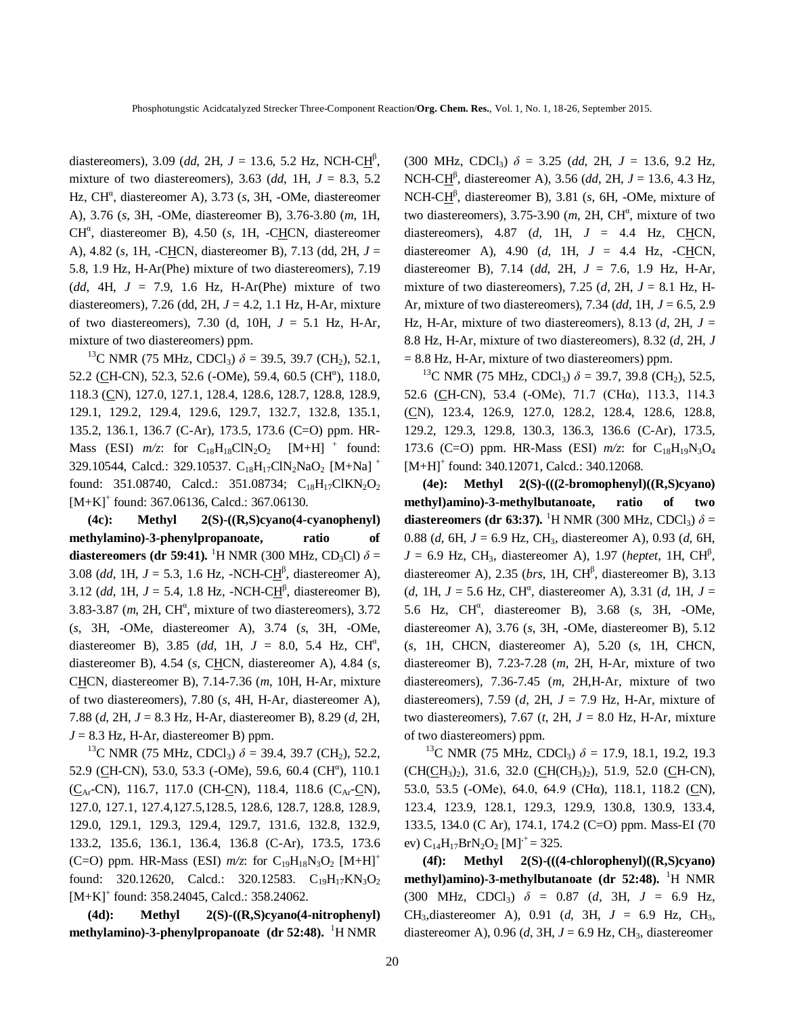diastereomers), 3.09 (*dd*, 2H, *J* = 13.6, 5.2 Hz, NCH-C<u>H</u><sup>β</sup>, mixture of two diastereomers), 3.63 (*dd*, 1H, *J* = 8.3, 5.2 Hz, CH<sup>a</sup>, diastereomer A), 3.73 (s, 3H, -OMe, diastereomer A), 3.76 (*s*, 3H, -OMe, diastereomer B), 3.76-3.80 (*m*, 1H, CH<sup>a</sup>, diastereomer B), 4.50 (s, 1H, -CHCN, diastereomer A), 4.82 (*s*, 1H, -CHCN, diastereomer B), 7.13 (dd, 2H, *J* = 5.8, 1.9 Hz, H-Ar(Phe) mixture of two diastereomers), 7.19 (*dd*, 4H,  $J = 7.9$ , 1.6 Hz, H-Ar(Phe) mixture of two diastereomers), 7.26 (dd, 2H, *J* = 4.2, 1.1 Hz, H-Ar, mixture of two diastereomers), 7.30 (d, 10H, *J* = 5.1 Hz, H-Ar, mixture of two diastereomers) ppm.

<sup>13</sup>C NMR (75 MHz, CDCl<sub>3</sub>)  $\delta$  = 39.5, 39.7 (CH<sub>2</sub>), 52.1, 52.2 (CH-CN), 52.3, 52.6 (-OMe), 59.4, 60.5 (CH<sup>a</sup>), 118.0, 118.3 (CN), 127.0, 127.1, 128.4, 128.6, 128.7, 128.8, 128.9, 129.1, 129.2, 129.4, 129.6, 129.7, 132.7, 132.8, 135.1, 135.2, 136.1, 136.7 (C-Ar), 173.5, 173.6 (C=O) ppm. HR-Mass (ESI)  $m/z$ : for  $C_{18}H_{18}CIN_2O_2$  [M+H]<sup>+</sup> found: 329.10544, Calcd.: 329.10537. C<sub>18</sub>H<sub>17</sub>ClN<sub>2</sub>NaO<sub>2</sub> [M+Na]<sup>+</sup> found: 351.08740, Calcd.: 351.08734;  $C_{18}H_{17}ClKN_2O_2$ [M+K]<sup>+</sup> found: 367.06136, Calcd.: 367.06130.

**(4c): Methyl 2(S)-((R,S)cyano(4-cyanophenyl) methylamino)-3-phenylpropanoate, ratio of**  diastereomers (dr 59:41). <sup>1</sup>H NMR (300 MHz, CD<sub>3</sub>Cl)  $\delta$  = 3.08 (*dd*, 1H,  $J = 5.3$ , 1.6 Hz, -NCH-C $H^{\beta}$ , diastereomer A), 3.12 (*dd*, 1H,  $J = 5.4$ , 1.8 Hz, -NCH-C $H^{\beta}$ , diastereomer B), 3.83-3.87  $(m, 2H, CH^{\alpha}, m$  ixture of two diastereomers), 3.72 (*s*, 3H, -OMe, diastereomer A), 3.74 (*s*, 3H, -OMe, diastereomer B), 3.85 (dd, 1H,  $J = 8.0$ , 5.4 Hz, CH<sup>a</sup>, diastereomer B), 4.54 (*s*, CHCN, diastereomer A), 4.84 (*s*, CHCN, diastereomer B), 7.14-7.36 (*m*, 10H, H-Ar, mixture of two diastereomers), 7.80 (*s*, 4H, H-Ar, diastereomer A), 7.88 (*d*, 2H, *J* = 8.3 Hz, H-Ar, diastereomer B), 8.29 (*d*, 2H,  $J = 8.3$  Hz, H-Ar, diastereomer B) ppm.

<sup>13</sup>C NMR (75 MHz, CDCl<sub>3</sub>)  $\delta$  = 39.4, 39.7 (CH<sub>2</sub>), 52.2, 52.9 (CH-CN), 53.0, 53.3 (-OMe), 59.6, 60.4 (CH<sup>a</sup>), 110.1  $(C_{Ar}$ -CN), 116.7, 117.0 (CH-CN), 118.4, 118.6 (C<sub>Ar</sub>-CN), 127.0, 127.1, 127.4,127.5,128.5, 128.6, 128.7, 128.8, 128.9, 129.0, 129.1, 129.3, 129.4, 129.7, 131.6, 132.8, 132.9, 133.2, 135.6, 136.1, 136.4, 136.8 (C-Ar), 173.5, 173.6 (C=O) ppm. HR-Mass (ESI)  $m/z$ : for C<sub>19</sub>H<sub>18</sub>N<sub>3</sub>O<sub>2</sub> [M+H]<sup>+</sup> found: 320.12620, Calcd.: 320.12583.  $C_{19}H_{17}KN_3O_2$ [M+K]<sup>+</sup> found: 358.24045, Calcd.: 358.24062.

**(4d): Methyl 2(S)-((R,S)cyano(4-nitrophenyl) methylamino)-3-phenylpropanoate (dr 52:48).** <sup>1</sup>H NMR

(300 MHz, CDCl<sub>3</sub>)  $\delta = 3.25$  (dd, 2H,  $J = 13.6$ , 9.2 Hz, NCH-CH β , diastereomer A), 3.56 (*dd*, 2H, *J* = 13.6, 4.3 Hz, NCH-CH<sup>β</sup>, diastereomer B), 3.81 (*s*, 6H, -OMe, mixture of two diastereomers),  $3.75 - 3.90$  (*m*,  $2H$ ,  $CH^{\alpha}$ , mixture of two diastereomers), 4.87 (*d*, 1H, *J* = 4.4 Hz, CHCN, diastereomer A), 4.90 (*d*, 1H, *J* = 4.4 Hz, -CHCN, diastereomer B), 7.14 (*dd*, 2H, *J* = 7.6, 1.9 Hz, H-Ar, mixture of two diastereomers), 7.25 ( $d$ , 2H,  $J = 8.1$  Hz, H-Ar, mixture of two diastereomers), 7.34 (*dd*, 1H, *J* = 6.5, 2.9 Hz, H-Ar, mixture of two diastereomers), 8.13  $(d, 2H, J =$ 8.8 Hz, H-Ar, mixture of two diastereomers), 8.32 (*d*, 2H, *J*  $= 8.8$  Hz, H-Ar, mixture of two diastereomers) ppm.

<sup>13</sup>C NMR (75 MHz, CDCl<sub>3</sub>)  $\delta$  = 39.7, 39.8 (CH<sub>2</sub>), 52.5, 52.6 (CH-CN), 53.4 (-OMe), 71.7 (CHα), 113.3, 114.3 (CN), 123.4, 126.9, 127.0, 128.2, 128.4, 128.6, 128.8, 129.2, 129.3, 129.8, 130.3, 136.3, 136.6 (C-Ar), 173.5, 173.6 (C=O) ppm. HR-Mass (ESI)  $m/z$ : for C<sub>18</sub>H<sub>19</sub>N<sub>3</sub>O<sub>4</sub> [M+H]<sup>+</sup> found: 340.12071, Calcd.: 340.12068.

**(4e): Methyl 2(S)-(((2-bromophenyl)((R,S)cyano) methyl)amino)-3-methylbutanoate, ratio of two**  diastereomers (dr 63:37). <sup>1</sup>H NMR (300 MHz, CDCl<sub>3</sub>)  $\delta$  = 0.88 (*d*, 6H, *J* = 6.9 Hz, CH3, diastereomer A), 0.93 (*d*, 6H,  $J = 6.9$  Hz, CH<sub>3</sub>, diastereomer A), 1.97 (*heptet*, 1H, CH<sup>β</sup>, diastereomer A), 2.35 (*brs*, 1H, CH<sup>β</sup>, diastereomer B), 3.13  $(d, 1H, J = 5.6 Hz, CH^{\alpha},$  diastereomer A), 3.31  $(d, 1H, J = 1)$ 5.6 Hz, CH<sup>a</sup>, diastereomer B), 3.68 (s, 3H, -OMe, diastereomer A), 3.76 (*s*, 3H, -OMe, diastereomer B), 5.12 (*s*, 1H, CHCN, diastereomer A), 5.20 (*s*, 1H, CHCN, diastereomer B), 7.23-7.28 (*m*, 2H, H-Ar, mixture of two diastereomers), 7.36-7.45 (*m*, 2H,H-Ar, mixture of two diastereomers), 7.59 (*d*, 2H, *J* = 7.9 Hz, H-Ar, mixture of two diastereomers), 7.67 (*t*, 2H, *J* = 8.0 Hz, H-Ar, mixture of two diastereomers) ppm.

<sup>13</sup>C NMR (75 MHz, CDCl<sub>3</sub>)  $\delta$  = 17.9, 18.1, 19.2, 19.3  $(CH(\underline{CH}_3)_2)$ , 31.6, 32.0  $(\underline{CH}(CH_3)_2)$ , 51.9, 52.0  $(\underline{CH}-CN)$ , 53.0, 53.5 (-OMe), 64.0, 64.9 (CHα), 118.1, 118.2 (CN), 123.4, 123.9, 128.1, 129.3, 129.9, 130.8, 130.9, 133.4, 133.5, 134.0 (C Ar), 174.1, 174.2 (C=O) ppm. Mass-EI (70 ev)  $C_{14}H_{17}BrN_2O_2$  [M]<sup>+</sup> = 325.

**(4f): Methyl 2(S)-(((4-chlorophenyl)((R,S)cyano) methyl)amino)-3-methylbutanoate (dr 52:48).** <sup>1</sup>H NMR (300 MHz, CDCl<sub>3</sub>)  $\delta = 0.87$  (*d*, 3H, *J* = 6.9 Hz, CH3,diastereomer A), 0.91 (*d*, 3H, *J* = 6.9 Hz, CH3, diastereomer A),  $0.96$  (*d*,  $3H$ ,  $J = 6.9$  Hz, CH<sub>3</sub>, diastereomer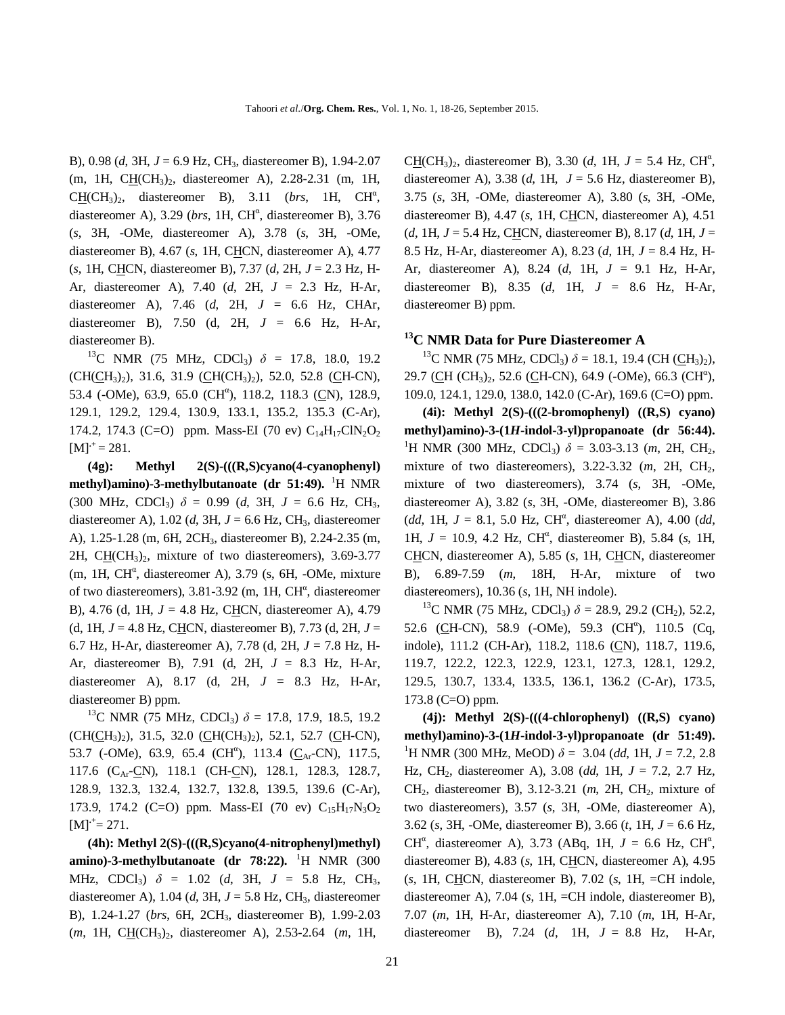B), 0.98 (*d*, 3H, *J* = 6.9 Hz, CH3, diastereomer B), 1.94-2.07 (m, 1H, CH(CH<sub>3</sub>)<sub>2</sub>, diastereomer A), 2.28-2.31 (m, 1H,  $C\underline{H}(CH_3)_2$ , diastereomer B), 3.11 (*brs*, 1H,  $CH^{\alpha}$ , diastereomer A), 3.29 (*brs*, 1H, CH<sup>a</sup>, diastereomer B), 3.76 (*s*, 3H, -OMe, diastereomer A), 3.78 (*s*, 3H, -OMe, diastereomer B), 4.67 (*s*, 1H, CHCN, diastereomer A), 4.77 (*s*, 1H, CHCN, diastereomer B), 7.37 (*d*, 2H, *J* = 2.3 Hz, H-Ar, diastereomer A), 7.40 (*d*, 2H, *J* = 2.3 Hz, H-Ar, diastereomer A), 7.46 (*d*, 2H, *J* = 6.6 Hz, CHAr, diastereomer B), 7.50 (d, 2H, *J* = 6.6 Hz, H-Ar, diastereomer B).

<sup>13</sup>C NMR (75 MHz, CDCl<sub>3</sub>)  $\delta$  = 17.8, 18.0, 19.2  $(CH(CH<sub>3</sub>)<sub>2</sub>), 31.6, 31.9 (CH(CH<sub>3</sub>)<sub>2</sub>), 52.0, 52.8 (CH-CN),$ 53.4 (-OMe), 63.9, 65.0 (CH<sup>a</sup>), 118.2, 118.3 (CN), 128.9, 129.1, 129.2, 129.4, 130.9, 133.1, 135.2, 135.3 (C-Ar), 174.2, 174.3 (C=O) ppm. Mass-EI (70 ev)  $C_{14}H_{17}CIN_2O_2$  $[M]$ <sup> $+$ </sup> = 281.

**(4g): Methyl 2(S)-(((R,S)cyano(4-cyanophenyl) methyl)amino)-3-methylbutanoate (dr 51:49).** <sup>1</sup>H NMR (300 MHz, CDCl<sub>3</sub>)  $\delta = 0.99$  (*d*, 3H,  $J = 6.6$  Hz, CH<sub>3</sub>, diastereomer A),  $1.02$  (*d*,  $3H$ ,  $J = 6.6$  Hz, CH<sub>3</sub>, diastereomer A), 1.25-1.28 (m, 6H, 2CH3, diastereomer B), 2.24-2.35 (m, 2H, C $H$ (CH<sub>3</sub>)<sub>2</sub>, mixture of two diastereomers), 3.69-3.77  $(m, 1H, CH^{\alpha},$  diastereomer A), 3.79 (s, 6H, -OMe, mixture of two diastereomers),  $3.81 - 3.92$  (m, 1H, CH<sup>a</sup>, diastereomer B), 4.76 (d, 1H, *J* = 4.8 Hz, CHCN, diastereomer A), 4.79 (d, 1H, *J* = 4.8 Hz, CHCN, diastereomer B), 7.73 (d, 2H, *J* = 6.7 Hz, H-Ar, diastereomer A), 7.78 (d, 2H, *J* = 7.8 Hz, H-Ar, diastereomer B), 7.91 (d, 2H, *J* = 8.3 Hz, H-Ar, diastereomer A), 8.17 (d, 2H, *J* = 8.3 Hz, H-Ar, diastereomer B) ppm.

<sup>13</sup>C NMR (75 MHz, CDCl<sub>3</sub>)  $\delta$  = 17.8, 17.9, 18.5, 19.2  $(CH(CH_3)_2)$ , 31.5, 32.0  $(CH(CH_3)_2)$ , 52.1, 52.7 (CH-CN), 53.7 (-OMe), 63.9, 65.4 (CH<sup>α</sup>), 113.4 (C<sub>Ar</sub>-CN), 117.5, 117.6 (C<sub>Ar</sub>-CN), 118.1 (CH-CN), 128.1, 128.3, 128.7, 128.9, 132.3, 132.4, 132.7, 132.8, 139.5, 139.6 (C-Ar), 173.9, 174.2 (C=O) ppm. Mass-EI (70 ev)  $C_{15}H_{17}N_3O_2$  $[M]$ <sup>+</sup>= 271.

**(4h): Methyl 2(S)-(((R,S)cyano(4-nitrophenyl)methyl) amino)-3-methylbutanoate (dr 78:22).** <sup>1</sup>H NMR (300 MHz, CDCl3) *δ* = 1.02 (*d*, 3H, *J* = 5.8 Hz, CH3, diastereomer A),  $1.04$  (*d*,  $3H$ ,  $J = 5.8$  Hz, CH<sub>3</sub>, diastereomer B), 1.24-1.27 (*brs*, 6H, 2CH3, diastereomer B), 1.99-2.03 (*m*, 1H, CH(CH<sub>3</sub>)<sub>2</sub>, diastereomer A), 2.53-2.64 (*m*, 1H,

 $C\underline{H}(CH_3)_2$ , diastereomer B), 3.30 (*d*, 1H,  $J = 5.4$  Hz,  $CH^a$ , diastereomer A), 3.38 (*d*, 1H, *J* = 5.6 Hz, diastereomer B), 3.75 (*s*, 3H, -OMe, diastereomer A), 3.80 (*s*, 3H, -OMe, diastereomer B), 4.47 (*s*, 1H, CHCN, diastereomer A), 4.51 (*d*, 1H, *J* = 5.4 Hz, CHCN, diastereomer B), 8.17 (*d*, 1H, *J* = 8.5 Hz, H-Ar, diastereomer A), 8.23 (*d*, 1H, *J* = 8.4 Hz, H-Ar, diastereomer A), 8.24 (*d*, 1H, *J* = 9.1 Hz, H-Ar, diastereomer B), 8.35 (*d*, 1H, *J* = 8.6 Hz, H-Ar, diastereomer B) ppm.

## **<sup>13</sup>C NMR Data for Pure Diastereomer A**

<sup>13</sup>C NMR (75 MHz, CDCl<sub>3</sub>)  $\delta$  = 18.1, 19.4 (CH (CH<sub>3</sub>)<sub>2</sub>), 29.7 (CH (CH<sub>3</sub>)<sub>2</sub>, 52.6 (CH-CN), 64.9 (-OMe), 66.3 (CH<sup>a</sup>), 109.0, 124.1, 129.0, 138.0, 142.0 (C-Ar), 169.6 (C=O) ppm.

**(4i): Methyl 2(S)-(((2-bromophenyl) ((R,S) cyano) methyl)amino)-3-(1***H***-indol-3-yl)propanoate (dr 56:44).**  <sup>1</sup>H NMR (300 MHz, CDCl<sub>3</sub>)  $\delta$  = 3.03-3.13 (*m*, 2H, CH<sub>2</sub>, mixture of two diastereomers), 3.22-3.32 (*m*, 2H, CH2, mixture of two diastereomers), 3.74 (*s*, 3H, -OMe, diastereomer A), 3.82 (*s*, 3H, -OMe, diastereomer B), 3.86  $(dd, 1H, J = 8.1, 5.0 Hz, CH<sup>a</sup>, diastereomer A), 4.00 (dd,$ 1H,  $J = 10.9$ , 4.2 Hz, CH<sup>a</sup>, diastereomer B), 5.84 (s, 1H, CHCN, diastereomer A), 5.85 (*s*, 1H, CHCN, diastereomer B), 6.89-7.59 (*m*, 18H, H-Ar, mixture of two diastereomers), 10.36 (*s*, 1H, NH indole).

<sup>13</sup>C NMR (75 MHz, CDCl<sub>3</sub>)  $\delta$  = 28.9, 29.2 (CH<sub>2</sub>), 52.2, 52.6 (CH-CN), 58.9 (-OMe), 59.3 (CH<sup>a</sup>), 110.5 (Cq, indole), 111.2 (CH-Ar), 118.2, 118.6 (CN), 118.7, 119.6, 119.7, 122.2, 122.3, 122.9, 123.1, 127.3, 128.1, 129.2, 129.5, 130.7, 133.4, 133.5, 136.1, 136.2 (C-Ar), 173.5, 173.8 (C=O) ppm.

**(4j): Methyl 2(S)-(((4-chlorophenyl) ((R,S) cyano) methyl)amino)-3-(1***H***-indol-3-yl)propanoate (dr 51:49).**  <sup>1</sup>H NMR (300 MHz, MeOD)  $\delta = 3.04$  (dd, 1H,  $J = 7.2, 2.8$ ) Hz, CH2, diastereomer A), 3.08 (*dd*, 1H, *J* = 7.2, 2.7 Hz, CH<sub>2</sub>, diastereomer B), 3.12-3.21 (*m*, 2H, CH<sub>2</sub>, mixture of two diastereomers), 3.57 (*s*, 3H, -OMe, diastereomer A), 3.62 (*s*, 3H, -OMe, diastereomer B), 3.66 (*t*, 1H, *J* = 6.6 Hz, CH<sup>a</sup>, diastereomer A), 3.73 (ABq, 1H,  $J = 6.6$  Hz, CH<sup>a</sup>, diastereomer B), 4.83 (*s*, 1H, CHCN, diastereomer A), 4.95 (*s*, 1H, CHCN, diastereomer B), 7.02 (*s*, 1H, =CH indole, diastereomer A), 7.04 (*s*, 1H, =CH indole, diastereomer B), 7.07 (*m*, 1H, H-Ar, diastereomer A), 7.10 (*m*, 1H, H-Ar, diastereomer B), 7.24 (*d*, 1H, *J* = 8.8 Hz, H-Ar,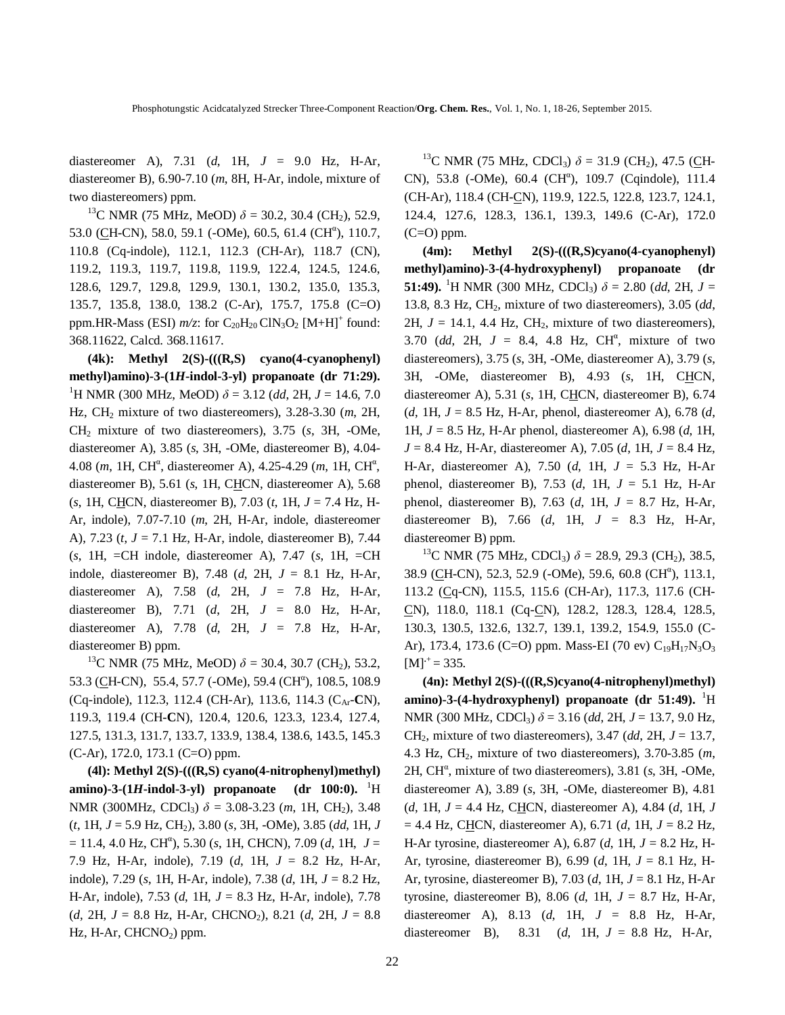diastereomer A), 7.31 (*d*, 1H, *J* = 9.0 Hz, H-Ar, diastereomer B), 6.90-7.10 (*m*, 8H, H-Ar, indole, mixture of two diastereomers) ppm.

<sup>13</sup>C NMR (75 MHz, MeOD)  $\delta$  = 30.2, 30.4 (CH<sub>2</sub>), 52.9, 53.0 (CH-CN), 58.0, 59.1 (-OMe), 60.5, 61.4 (CH<sup>a</sup>), 110.7, 110.8 (Cq-indole), 112.1, 112.3 (CH-Ar), 118.7 (CN), 119.2, 119.3, 119.7, 119.8, 119.9, 122.4, 124.5, 124.6, 128.6, 129.7, 129.8, 129.9, 130.1, 130.2, 135.0, 135.3, 135.7, 135.8, 138.0, 138.2 (C-Ar), 175.7, 175.8 (C=O) ppm.HR-Mass (ESI)  $m/z$ : for  $C_{20}H_{20}$  ClN<sub>3</sub>O<sub>2</sub> [M+H]<sup>+</sup> found: 368.11622, Calcd. 368.11617.

**(4k): Methyl 2(S)-(((R,S) cyano(4-cyanophenyl) methyl)amino)-3-(1***H***-indol-3-yl) propanoate (dr 71:29).**  <sup>1</sup>H NMR (300 MHz, MeOD)  $\delta$  = 3.12 (dd, 2H, J = 14.6, 7.0 Hz, CH2 mixture of two diastereomers), 3.28-3.30 (*m*, 2H, CH2 mixture of two diastereomers), 3.75 (*s*, 3H, -OMe, diastereomer A), 3.85 (*s*, 3H, -OMe, diastereomer B), 4.04- 4.08 (*m*, 1H, CH<sup>a</sup>, diastereomer A), 4.25-4.29 (*m*, 1H, CH<sup>a</sup>, diastereomer B), 5.61 (*s*, 1H, CHCN, diastereomer A), 5.68 (*s*, 1H, CHCN, diastereomer B), 7.03 (*t*, 1H, *J* = 7.4 Hz, H-Ar, indole), 7.07-7.10 (*m*, 2H, H-Ar, indole, diastereomer A), 7.23 (*t*, *J* = 7.1 Hz, H-Ar, indole, diastereomer B), 7.44 (*s*, 1H, =CH indole, diastereomer A), 7.47 (*s*, 1H, =CH indole, diastereomer B), 7.48 (*d*, 2H, *J* = 8.1 Hz, H-Ar, diastereomer A), 7.58 (*d*, 2H, *J* = 7.8 Hz, H-Ar, diastereomer B), 7.71 (*d*, 2H, *J* = 8.0 Hz, H-Ar, diastereomer A), 7.78 (*d*, 2H, *J* = 7.8 Hz, H-Ar, diastereomer B) ppm.

<sup>13</sup>C NMR (75 MHz, MeOD)  $\delta$  = 30.4, 30.7 (CH<sub>2</sub>), 53.2, 53.3 (CH-CN), 55.4, 57.7 (-OMe), 59.4 (CH<sup>a</sup>), 108.5, 108.9 (Cq-indole), 112.3, 112.4 (CH-Ar), 113.6, 114.3 (CAr-**C**N), 119.3, 119.4 (CH-**C**N), 120.4, 120.6, 123.3, 123.4, 127.4, 127.5, 131.3, 131.7, 133.7, 133.9, 138.4, 138.6, 143.5, 145.3 (C-Ar), 172.0, 173.1 (C=O) ppm.

**(4l): Methyl 2(S)-(((R,S) cyano(4-nitrophenyl)methyl) amino)-3-(1***H***-indol-3-yl) propanoate (dr 100:0).** <sup>1</sup>H NMR (300MHz, CDCl<sub>3</sub>)  $\delta$  = 3.08-3.23 (*m*, 1H, CH<sub>2</sub>), 3.48 (*t*, 1H, *J* = 5.9 Hz, CH2), 3.80 (*s*, 3H, -OMe), 3.85 (*dd*, 1H, *J*  $= 11.4, 4.0$  Hz, CH<sup>a</sup>), 5.30 (*s*, 1H, CHCN), 7.09 (*d*, 1H,  $J =$ 7.9 Hz, H-Ar, indole), 7.19 (*d*, 1H, *J* = 8.2 Hz, H-Ar, indole), 7.29 (*s*, 1H, H-Ar, indole), 7.38 (*d*, 1H, *J* = 8.2 Hz, H-Ar, indole), 7.53 (*d*, 1H, *J* = 8.3 Hz, H-Ar, indole), 7.78 (*d*, 2H, *J* = 8.8 Hz, H-Ar, CHCNO2), 8.21 (*d*, 2H, *J* = 8.8 Hz, H-Ar, CHCNO<sub>2</sub>) ppm.

<sup>13</sup>C NMR (75 MHz, CDCl<sub>3</sub>)  $\delta$  = 31.9 (CH<sub>2</sub>), 47.5 (CH-CN), 53.8 (-OMe), 60.4 (CH<sup>a</sup>), 109.7 (Cqindole), 111.4 (CH-Ar), 118.4 (CH-CN), 119.9, 122.5, 122.8, 123.7, 124.1, 124.4, 127.6, 128.3, 136.1, 139.3, 149.6 (C-Ar), 172.0  $(C=O)$  ppm.

**(4m): Methyl 2(S)-(((R,S)cyano(4-cyanophenyl) methyl)amino)-3-(4-hydroxyphenyl) propanoate (dr 51:49).** <sup>1</sup>H NMR (300 MHz, CDCl<sub>3</sub>)  $\delta$  = 2.80 (dd, 2H, J = 13.8, 8.3 Hz, CH2, mixture of two diastereomers), 3.05 (*dd*, 2H,  $J = 14.1$ , 4.4 Hz, CH<sub>2</sub>, mixture of two diastereomers), 3.70 (*dd*, 2H,  $J = 8.4$ , 4.8 Hz, CH<sup>a</sup>, mixture of two diastereomers), 3.75 (*s*, 3H, -OMe, diastereomer A), 3.79 (*s*, 3H, -OMe, diastereomer B), 4.93 (*s*, 1H, CHCN, diastereomer A), 5.31 (s, 1H, CHCN, diastereomer B), 6.74 (*d*, 1H, *J* = 8.5 Hz, H-Ar, phenol, diastereomer A), 6.78 (*d*, 1H, *J* = 8.5 Hz, H-Ar phenol, diastereomer A), 6.98 (*d*, 1H, *J* = 8.4 Hz, H-Ar, diastereomer A), 7.05 (*d*, 1H, *J* = 8.4 Hz, H-Ar, diastereomer A), 7.50 (*d*, 1H, *J* = 5.3 Hz, H-Ar phenol, diastereomer B), 7.53 (*d*, 1H, *J* = 5.1 Hz, H-Ar phenol, diastereomer B), 7.63 (*d*, 1H, *J* = 8.7 Hz, H-Ar, diastereomer B), 7.66 (*d*, 1H, *J* = 8.3 Hz, H-Ar, diastereomer B) ppm.

<sup>13</sup>C NMR (75 MHz, CDCl<sub>3</sub>)  $\delta$  = 28.9, 29.3 (CH<sub>2</sub>), 38.5, 38.9 (CH-CN), 52.3, 52.9 (-OMe), 59.6, 60.8 (CH<sup>a</sup>), 113.1, 113.2 (Cq-CN), 115.5, 115.6 (CH-Ar), 117.3, 117.6 (CH-CN), 118.0, 118.1 (Cq-CN), 128.2, 128.3, 128.4, 128.5, 130.3, 130.5, 132.6, 132.7, 139.1, 139.2, 154.9, 155.0 (C-Ar), 173.4, 173.6 (C=O) ppm. Mass-EI (70 ev)  $C_{19}H_{17}N_3O_3$  $[M]$ <sup> $+$ </sup> = 335.

**(4n): Methyl 2(S)-(((R,S)cyano(4-nitrophenyl)methyl) amino**)-3-(4-hydroxyphenyl) propanoate (dr 51:49). <sup>1</sup>H NMR (300 MHz, CDCl3) *δ* = 3.16 (*dd*, 2H, *J* = 13.7, 9.0 Hz, CH2, mixture of two diastereomers), 3.47 (*dd*, 2H, *J* = 13.7, 4.3 Hz, CH2, mixture of two diastereomers), 3.70-3.85 (*m*, 2H, CH<sup>a</sup>, mixture of two diastereomers), 3.81 (s, 3H, -OMe, diastereomer A), 3.89 (*s*, 3H, -OMe, diastereomer B), 4.81 (*d*, 1H, *J* = 4.4 Hz, CHCN, diastereomer A), 4.84 (*d*, 1H, *J* = 4.4 Hz, CHCN, diastereomer A), 6.71 (*d*, 1H, *J* = 8.2 Hz, H-Ar tyrosine, diastereomer A), 6.87 (*d*, 1H, *J* = 8.2 Hz, H-Ar, tyrosine, diastereomer B), 6.99 (*d*, 1H, *J* = 8.1 Hz, H-Ar, tyrosine, diastereomer B), 7.03 (*d*, 1H, *J* = 8.1 Hz, H-Ar tyrosine, diastereomer B), 8.06 (*d*, 1H, *J* = 8.7 Hz, H-Ar, diastereomer A), 8.13 (*d*, 1H, *J* = 8.8 Hz, H-Ar, diastereomer B), 8.31 (*d*, 1H, *J* = 8.8 Hz, H-Ar,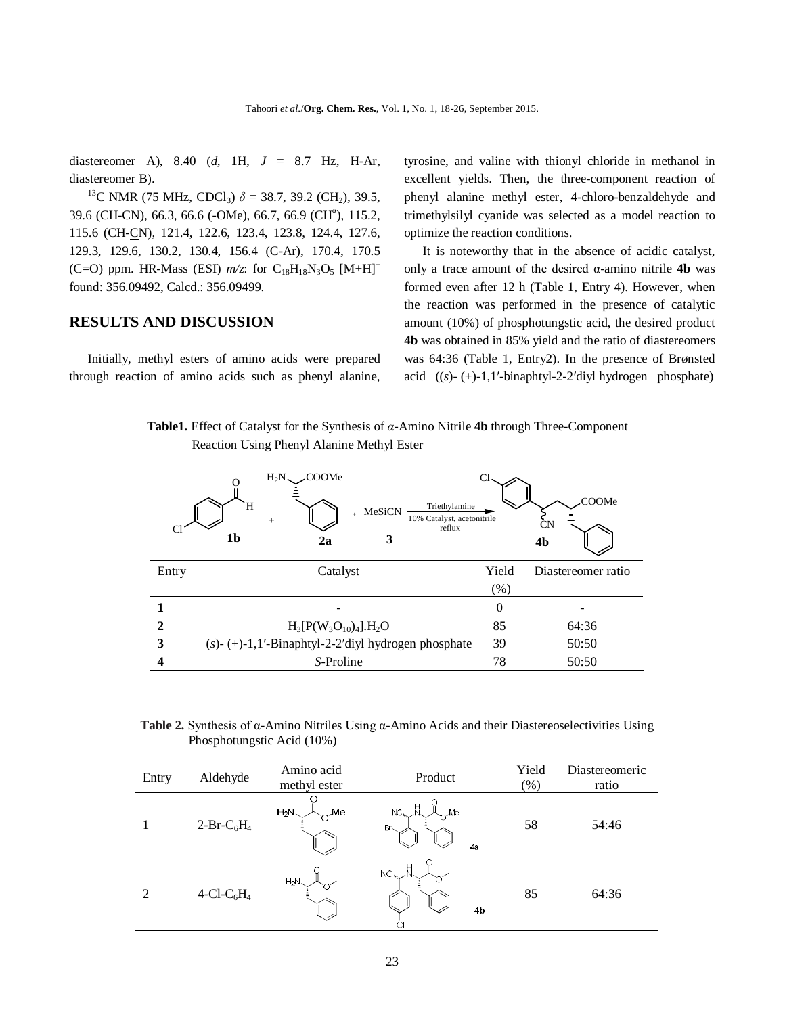diastereomer A), 8.40 (*d*, 1H, *J* = 8.7 Hz, H-Ar, diastereomer B).

<sup>13</sup>C NMR (75 MHz, CDCl<sub>3</sub>)  $\delta$  = 38.7, 39.2 (CH<sub>2</sub>), 39.5, 39.6 (CH-CN), 66.3, 66.6 (-OMe), 66.7, 66.9 (CH<sup>a</sup>), 115.2, 115.6 (CH-CN), 121.4, 122.6, 123.4, 123.8, 124.4, 127.6, 129.3, 129.6, 130.2, 130.4, 156.4 (C-Ar), 170.4, 170.5 (C=O) ppm. HR-Mass (ESI)  $m/z$ : for C<sub>18</sub>H<sub>18</sub>N<sub>3</sub>O<sub>5</sub> [M+H]<sup>+</sup> found: 356.09492, Calcd.: 356.09499.

#### **RESULTS AND DISCUSSION**

Initially, methyl esters of amino acids were prepared through reaction of amino acids such as phenyl alanine, tyrosine, and valine with thionyl chloride in methanol in excellent yields. Then, the three-component reaction of phenyl alanine methyl ester, 4-chloro-benzaldehyde and trimethylsilyl cyanide was selected as a model reaction to optimize the reaction conditions.

It is noteworthy that in the absence of acidic catalyst, only a trace amount of the desired α-amino nitrile **4b** was formed even after 12 h (Table 1, Entry 4). However, when the reaction was performed in the presence of catalytic amount (10%) of phosphotungstic acid, the desired product **4b** was obtained in 85% yield and the ratio of diastereomers was 64:36 (Table 1, Entry2). In the presence of Brønsted acid ((*s*)- (+)-1,1′-binaphtyl-2-2′diyl hydrogen phosphate)

 **Table1.** Effect of Catalyst for the Synthesis of *α*-Amino Nitrile **4b** through Three-Component Reaction Using Phenyl Alanine Methyl Ester

|              | COOMe.<br>$H_2N$<br>Triethylamine<br>H<br>MeSiCN<br>$\ddot{+}$<br>10% Catalyst, acetonitrile<br>$\ddot{}$<br>reflux<br>1b<br>3<br>2a | Cl       | COOMe<br><b>CN</b><br>4b |
|--------------|--------------------------------------------------------------------------------------------------------------------------------------|----------|--------------------------|
| Entry        | Catalyst                                                                                                                             | Yield    | Diastereomer ratio       |
|              |                                                                                                                                      | (% )     |                          |
|              |                                                                                                                                      | $\theta$ |                          |
| $\mathbf{2}$ | $H_3[P(W_3O_{10})_4].H_2O$                                                                                                           | 85       | 64:36                    |
| 3            | $(s)$ - (+)-1,1'-Binaphtyl-2-2'diyl hydrogen phosphate                                                                               | 39       | 50:50                    |
|              | S-Proline                                                                                                                            | 78       | 50:50                    |

 **Table 2.** Synthesis of α-Amino Nitriles Using α-Amino Acids and their Diastereoselectivities Using Phosphotungstic Acid (10%)

| Entry | Aldehyde                           | Amino acid<br>methyl ester | Product                                                  | Yield<br>$(\% )$ | Diastereomeric<br>ratio |
|-------|------------------------------------|----------------------------|----------------------------------------------------------|------------------|-------------------------|
|       | $2-Br-C_6H_4$                      | $H_2N$<br>Me               | $\mathsf{H}$<br>$NC_{\lambda_{\nu}}$<br>Me,<br>Br<<br>4a | 58               | 54:46                   |
| 2     | 4-Cl-C <sub>6</sub> H <sub>4</sub> | $H_2N$                     | Н<br>$NC_{\nu\sim}$<br>4b<br>C.                          | 85               | 64:36                   |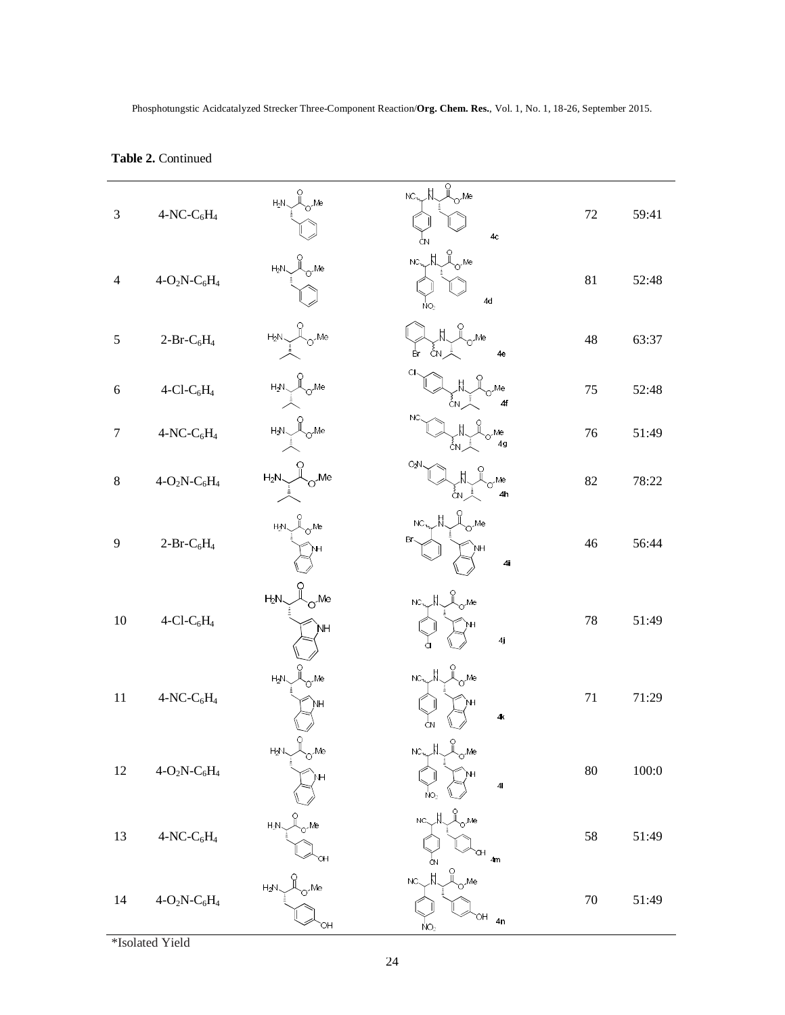| $\mathfrak{Z}$ | $4-NC-C6H4$                           | $\bigcup_{\mathsf{O}^{\sim \mathsf{Me}}}^{\mathsf{O}}$<br>$H_2N_{\sim}$                                                                                                                                                                                                                                                                             | $\underbrace{\bar{\mathsf{D}}}_{\mathsf{O}}^{\mathsf{O}}$ Me<br>$NC_{\text{max}}\pi$<br>4c<br>ĊΝ               | 72     | 59:41 |
|----------------|---------------------------------------|-----------------------------------------------------------------------------------------------------------------------------------------------------------------------------------------------------------------------------------------------------------------------------------------------------------------------------------------------------|----------------------------------------------------------------------------------------------------------------|--------|-------|
| $\overline{4}$ | $4-O_2N-C_6H_4$                       | $H_2N \searrow 0$ Me                                                                                                                                                                                                                                                                                                                                | $NC_{\nu_{\nu}}N_{\nu}$<br>4d<br>ŃΟ,                                                                           | 81     | 52:48 |
| $\mathfrak s$  | $2-Pr-C_6H_4$                         | $H_2N \underset{\vdots}{\overset{O}{\prod}} O^{\prime}$ Me                                                                                                                                                                                                                                                                                          | $\int_{\mathcal{O}}^{0}$ Me<br>a, čN<br>4e                                                                     | 48     | 63:37 |
| $\sqrt{6}$     | $4$ -Cl-C <sub>6</sub> H <sub>4</sub> | $H_2N \underset{\vdots \\ \longleftarrow}{\overset{\circ}{\bigcup}} O^{\prime}$ Me                                                                                                                                                                                                                                                                  | CI.<br>Me<br>ÅΝ.<br>4f                                                                                         | 75     | 52:48 |
| $\tau$         | $4-NC-C6H4$                           | $H_2N \underset{\underset{\text{in}}{\downarrow}}{\overset{O}{\bigcup}} O$ -Me                                                                                                                                                                                                                                                                      | NC.<br>$o^{\mathcal{M}e}$<br>4 <sub>g</sub>                                                                    | 76     | 51:49 |
| $8\,$          | $4-O_2N-C_6H_4$                       | $H_2N \underset{\vdots}{\overset{O}{\bigcup}} O$ . Me                                                                                                                                                                                                                                                                                               | ΟźΝ<br>Me<br>ĆΝ,<br>4 <sub>h</sub>                                                                             | 82     | 78:22 |
| 9              | $2-Pr-C_6H_4$                         | $\begin{picture}(120,17) \put(0,0){\line(1,0){15}} \put(15,0){\line(1,0){15}} \put(15,0){\line(1,0){15}} \put(15,0){\line(1,0){15}} \put(15,0){\line(1,0){15}} \put(15,0){\line(1,0){15}} \put(15,0){\line(1,0){15}} \put(15,0){\line(1,0){15}} \put(15,0){\line(1,0){15}} \put(15,0){\line(1,0){15}} \put(15,0){\line(1,0){15}} \put(15,0){\line($ | $o^{\mathcal{M}e}$<br>$NC_{\nu}$<br>Br.<br>4 <sub>1</sub>                                                      | 46     | 56:44 |
| 10             | $4$ -Cl-C <sub>6</sub> H <sub>4</sub> | $\alpha^{\text{Me}}$<br>$H_2N$<br>ÌМH                                                                                                                                                                                                                                                                                                               | $NC_{\text{max}}\underset{\sim}{\parallel}$ $\underset{\sim}{\parallel}$ $\underset{\sim}{\sim}$ Me<br>4j      | 78     | 51:49 |
| 11             | $4-NC-C6H4$                           | $\int_{\gamma}^{0}$ Me<br>$H_2N$<br>NΗ                                                                                                                                                                                                                                                                                                              | $NC_{\mathcal{N}\sim}\stackrel{H}{N}\stackrel{O}{\sim}Me$<br>Ҹ<br>4 <sub>K</sub><br>ĊN                         | 71     | 71:29 |
| 12             | $4-O_2N-C_6H_4$                       | $\overline{a}$<br>$H_2N$<br>o <sup>Me</sup>                                                                                                                                                                                                                                                                                                         | $NC_{n}$ $N_{\text{max}}$ $\theta$<br>4 <sub>l</sub><br>NO <sub>2</sub>                                        | $80\,$ | 100:0 |
| 13             | $4-NC-C6H4$                           | Me<br>$H_2N$<br>OH                                                                                                                                                                                                                                                                                                                                  | $nc1\sqrt{2}n$<br>4 <sub>m</sub><br>ĊΝ                                                                         | 58     | 51:49 |
| $14$           | $4-O_2N-C_6H_4$                       | .<br>Me<br>$H_2N$<br>ЮH                                                                                                                                                                                                                                                                                                                             | $\mathbb{R}$ $\mathbb{C}$ $\mathbb{C}$ $\mathbb{C}$ $\mathbb{C}$<br>$NC_{\sim}$<br>HC<br>4n<br>NO <sub>2</sub> | $70\,$ | 51:49 |

# **Table 2.** Continued

\*Isolated Yield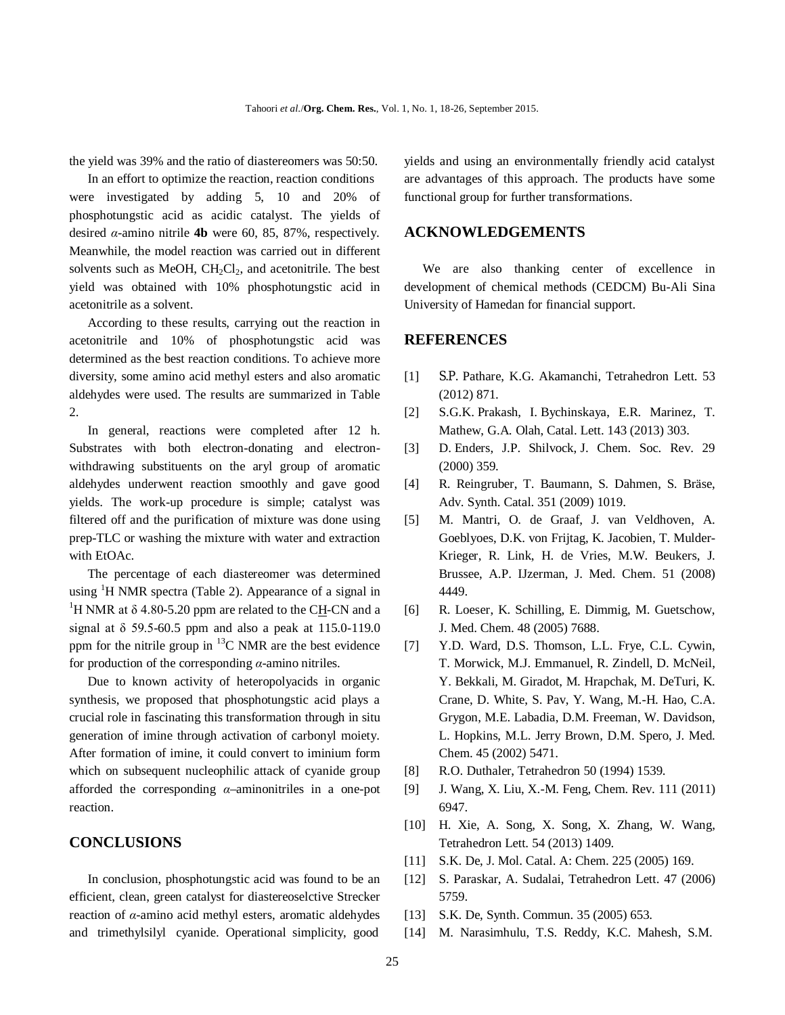the yield was 39% and the ratio of diastereomers was 50:50.

In an effort to optimize the reaction, reaction conditions were investigated by adding 5, 10 and 20% of phosphotungstic acid as acidic catalyst. The yields of desired *α*-amino nitrile **4b** were 60, 85, 87%, respectively. Meanwhile, the model reaction was carried out in different solvents such as MeOH,  $CH_2Cl_2$ , and acetonitrile. The best yield was obtained with 10% phosphotungstic acid in acetonitrile as a solvent.

According to these results, carrying out the reaction in acetonitrile and 10% of phosphotungstic acid was determined as the best reaction conditions. To achieve more diversity, some amino acid methyl esters and also aromatic aldehydes were used. The results are summarized in Table 2.

In general, reactions were completed after 12 h. Substrates with both electron-donating and electronwithdrawing substituents on the aryl group of aromatic aldehydes underwent reaction smoothly and gave good yields. The work-up procedure is simple; catalyst was filtered off and the purification of mixture was done using prep-TLC or washing the mixture with water and extraction with EtOAc.

The percentage of each diastereomer was determined using <sup>1</sup>H NMR spectra (Table 2). Appearance of a signal in <sup>1</sup>H NMR at  $\delta$  4.80-5.20 ppm are related to the CH-CN and a signal at δ 59.5-60.5 ppm and also a peak at 115.0-119.0 ppm for the nitrile group in  ${}^{13}$ C NMR are the best evidence for production of the corresponding *α*-amino nitriles.

Due to known activity of heteropolyacids in organic synthesis, we proposed that phosphotungstic acid plays a crucial role in fascinating this transformation through in situ generation of imine through activation of carbonyl moiety. After formation of imine, it could convert to iminium form which on subsequent nucleophilic attack of cyanide group afforded the corresponding *α*–aminonitriles in a one-pot reaction.

### **CONCLUSIONS**

In conclusion, phosphotungstic acid was found to be an efficient, clean, green catalyst for diastereoselctive Strecker reaction of *α*-amino acid methyl esters, aromatic aldehydes and trimethylsilyl cyanide. Operational simplicity, good

yields and using an environmentally friendly acid catalyst are advantages of this approach. The products have some functional group for further transformations.

# **ACKNOWLEDGEMENTS**

We are also thanking center of excellence in development of chemical methods (CEDCM) Bu-Ali Sina University of Hamedan for financial support.

### **REFERENCES**

- [1] S.P. Pathare, K.G. Akamanchi, Tetrahedron Lett. 53 (2012) 871.
- [2] S.G.K. Prakash, I. Bychinskaya, E.R. Marinez, T. Mathew, G.A*.* Olah, Catal. Lett. 143 (2013) 303.
- [3] D. Enders, J.P. Shilvock, J. Chem. Soc. Rev. 29 (2000) 359.
- [4] R. Reingruber, T. Baumann, S. Dahmen, S. Bräse, Adv. Synth. Catal. 351 (2009) 1019.
- [5] M. Mantri, O. de Graaf, J. van Veldhoven, A. Goeblyoes, D.K. von Frijtag, K. Jacobien, T. Mulder-Krieger, R. Link, H. de Vries, M.W. Beukers, J. Brussee, A.P. IJzerman, J. Med. Chem. 51 (2008) 4449.
- [6] R. Loeser, K. Schilling, E. Dimmig, M. Guetschow, J. Med. Chem. 48 (2005) 7688.
- [7] Y.D. Ward, D.S. Thomson, L.L. Frye, C.L. Cywin, T. Morwick, M.J. Emmanuel, R. Zindell, D. McNeil, Y. Bekkali, M. Giradot, M. Hrapchak, M. DeTuri, K. Crane, D. White, S. Pav, Y. Wang, M.-H. Hao, C.A. Grygon, M.E. Labadia, D.M. Freeman, W. Davidson, L. Hopkins, M.L. Jerry Brown, D.M. Spero, J. Med. Chem. 45 (2002) 5471.
- [8] R.O. Duthaler, Tetrahedron 50 (1994) 1539.
- [9] J. Wang, X. Liu, X.-M. Feng, Chem. Rev. 111 (2011) 6947.
- [10] H. Xie, A. Song, X. Song, X. Zhang, W. Wang, Tetrahedron Lett. 54 (2013) 1409.
- [11] S.K. De, J. Mol. Catal. A: Chem. 225 (2005) 169.
- [12] S. Paraskar, A. Sudalai, Tetrahedron Lett. 47 (2006) 5759.
- [13] S.K. De, Synth. Commun. 35 (2005) 653.
- [14] M. Narasimhulu, T.S. Reddy, K.C. Mahesh, S.M.